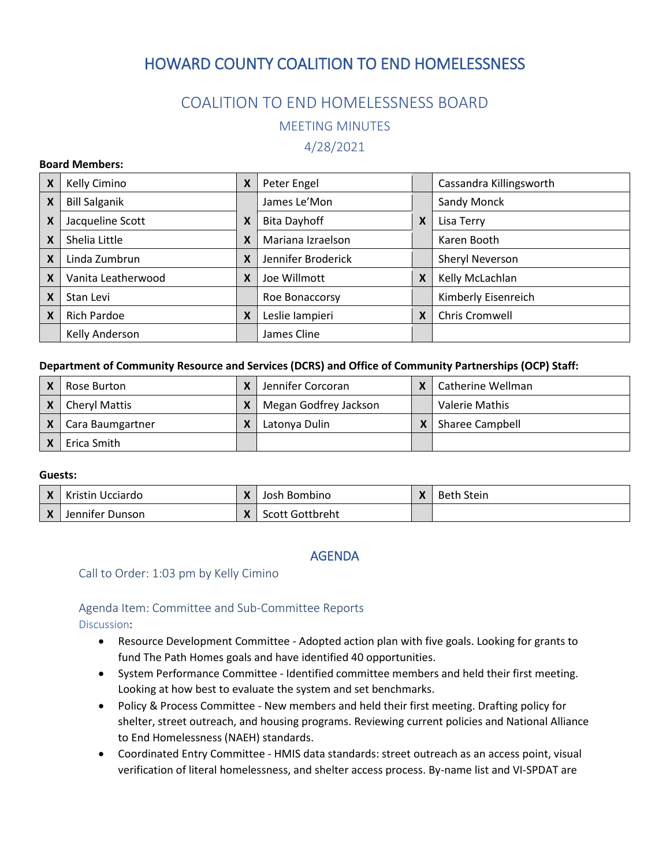# HOWARD COUNTY COALITION TO END HOMELESSNESS

## COALITION TO END HOMELESSNESS BOARD

MEETING MINUTES

4/28/2021

#### **Board Members:**

| X | Kelly Cimino         | X | Peter Engel         |   | Cassandra Killingsworth |
|---|----------------------|---|---------------------|---|-------------------------|
| X | <b>Bill Salganik</b> |   | James Le'Mon        |   | Sandy Monck             |
| X | Jacqueline Scott     | X | <b>Bita Dayhoff</b> | X | Lisa Terry              |
| X | Shelia Little        | X | Mariana Izraelson   |   | Karen Booth             |
| X | Linda Zumbrun        | X | Jennifer Broderick  |   | Sheryl Neverson         |
| X | Vanita Leatherwood   | X | Joe Willmott        | X | Kelly McLachlan         |
| X | Stan Levi            |   | Roe Bonaccorsy      |   | Kimberly Eisenreich     |
| X | <b>Rich Pardoe</b>   | X | Leslie lampieri     | X | Chris Cromwell          |
|   | Kelly Anderson       |   | James Cline         |   |                         |

#### **Department of Community Resource and Services (DCRS) and Office of Community Partnerships (OCP) Staff:**

| Rose Burton          | χ | Jennifer Corcoran     | l Catherine Wellman    |
|----------------------|---|-----------------------|------------------------|
| <b>Cheryl Mattis</b> |   | Megan Godfrey Jackson | Valerie Mathis         |
| Cara Baumgartner     |   | Latonya Dulin         | <b>Sharee Campbell</b> |
| Erica Smith          |   |                       |                        |

#### **Guests:**

| Kristin Ucciardo | $\mathbf{v}$   | Josh Bombino    | Beth Stein |
|------------------|----------------|-----------------|------------|
| Jennifer Dunson  | $\bullet$<br>↗ | Scott Gottbreht |            |

### AGENDA

### Call to Order: 1:03 pm by Kelly Cimino

## Agenda Item: Committee and Sub-Committee Reports

Discussion:

- Resource Development Committee Adopted action plan with five goals. Looking for grants to fund The Path Homes goals and have identified 40 opportunities.
- System Performance Committee Identified committee members and held their first meeting. Looking at how best to evaluate the system and set benchmarks.
- Policy & Process Committee New members and held their first meeting. Drafting policy for shelter, street outreach, and housing programs. Reviewing current policies and National Alliance to End Homelessness (NAEH) standards.
- Coordinated Entry Committee HMIS data standards: street outreach as an access point, visual verification of literal homelessness, and shelter access process. By-name list and VI-SPDAT are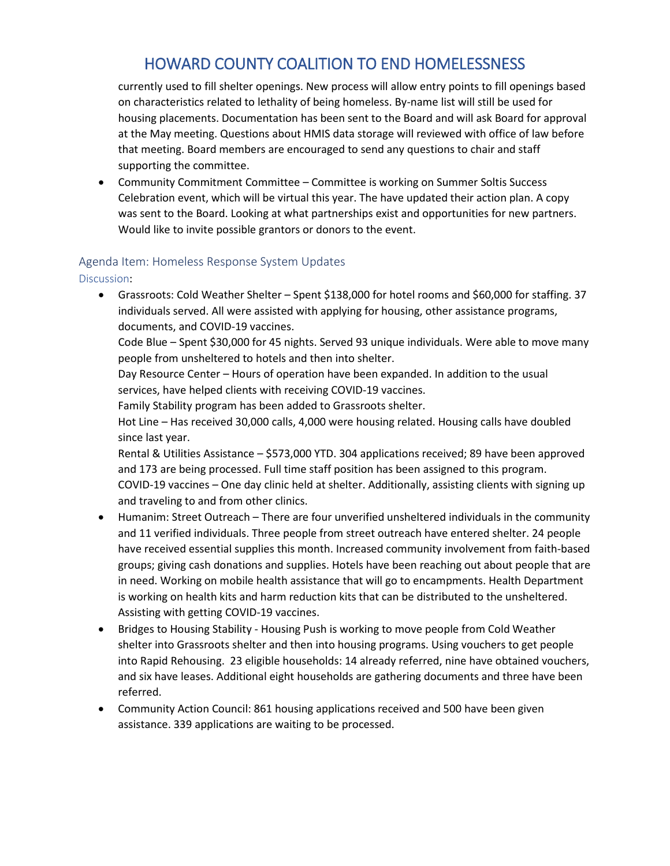# HOWARD COUNTY COALITION TO END HOMELESSNESS

currently used to fill shelter openings. New process will allow entry points to fill openings based on characteristics related to lethality of being homeless. By-name list will still be used for housing placements. Documentation has been sent to the Board and will ask Board for approval at the May meeting. Questions about HMIS data storage will reviewed with office of law before that meeting. Board members are encouraged to send any questions to chair and staff supporting the committee.

• Community Commitment Committee – Committee is working on Summer Soltis Success Celebration event, which will be virtual this year. The have updated their action plan. A copy was sent to the Board. Looking at what partnerships exist and opportunities for new partners. Would like to invite possible grantors or donors to the event.

## Agenda Item: Homeless Response System Updates

Discussion:

• Grassroots: Cold Weather Shelter – Spent \$138,000 for hotel rooms and \$60,000 for staffing. 37 individuals served. All were assisted with applying for housing, other assistance programs, documents, and COVID-19 vaccines.

Code Blue – Spent \$30,000 for 45 nights. Served 93 unique individuals. Were able to move many people from unsheltered to hotels and then into shelter.

Day Resource Center – Hours of operation have been expanded. In addition to the usual services, have helped clients with receiving COVID-19 vaccines.

Family Stability program has been added to Grassroots shelter.

Hot Line – Has received 30,000 calls, 4,000 were housing related. Housing calls have doubled since last year.

Rental & Utilities Assistance – \$573,000 YTD. 304 applications received; 89 have been approved and 173 are being processed. Full time staff position has been assigned to this program. COVID-19 vaccines – One day clinic held at shelter. Additionally, assisting clients with signing up and traveling to and from other clinics.

- Humanim: Street Outreach There are four unverified unsheltered individuals in the community and 11 verified individuals. Three people from street outreach have entered shelter. 24 people have received essential supplies this month. Increased community involvement from faith-based groups; giving cash donations and supplies. Hotels have been reaching out about people that are in need. Working on mobile health assistance that will go to encampments. Health Department is working on health kits and harm reduction kits that can be distributed to the unsheltered. Assisting with getting COVID-19 vaccines.
- Bridges to Housing Stability Housing Push is working to move people from Cold Weather shelter into Grassroots shelter and then into housing programs. Using vouchers to get people into Rapid Rehousing. 23 eligible households: 14 already referred, nine have obtained vouchers, and six have leases. Additional eight households are gathering documents and three have been referred.
- Community Action Council: 861 housing applications received and 500 have been given assistance. 339 applications are waiting to be processed.